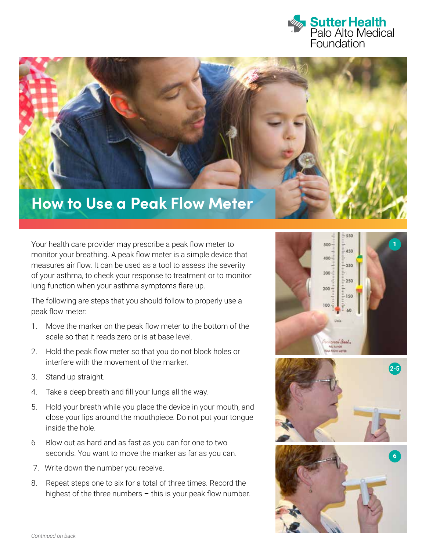



Your health care provider may prescribe a peak flow meter to monitor your breathing. A peak flow meter is a simple device that measures air flow. It can be used as a tool to assess the severity of your asthma, to check your response to treatment or to monitor lung function when your asthma symptoms flare up.

The following are steps that you should follow to properly use a peak flow meter:

- 1. Move the marker on the peak flow meter to the bottom of the scale so that it reads zero or is at base level.
- 2. Hold the peak flow meter so that you do not block holes or interfere with the movement of the marker.
- 3. Stand up straight.
- 4. Take a deep breath and fill your lungs all the way.
- 5. Hold your breath while you place the device in your mouth, and close your lips around the mouthpiece. Do not put your tongue inside the hole.
- 6 Blow out as hard and as fast as you can for one to two seconds. You want to move the marker as far as you can.
- 7. Write down the number you receive.
- 8. Repeat steps one to six for a total of three times. Record the highest of the three numbers – this is your peak flow number.